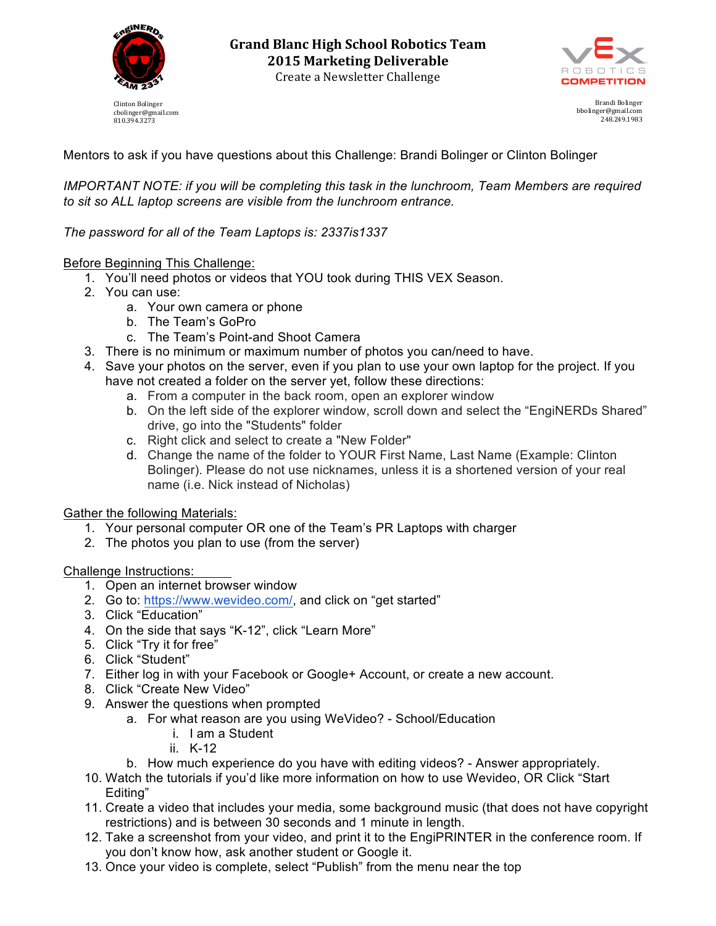

cbolinger@gmail.com 810.394.3273



Brandi Bolinger bbolinger@gmail.com 248.249.1983

Mentors to ask if you have questions about this Challenge: Brandi Bolinger or Clinton Bolinger

*IMPORTANT NOTE: if you will be completing this task in the lunchroom, Team Members are required to sit so ALL laptop screens are visible from the lunchroom entrance.*

## *The password for all of the Team Laptops is: 2337is1337*

### Before Beginning This Challenge:

- 1. You'll need photos or videos that YOU took during THIS VEX Season.
- 2. You can use:
	- a. Your own camera or phone
	- b. The Team's GoPro
	- c. The Team's Point-and Shoot Camera
- 3. There is no minimum or maximum number of photos you can/need to have.
- 4. Save your photos on the server, even if you plan to use your own laptop for the project. If you have not created a folder on the server yet, follow these directions:
	- a. From a computer in the back room, open an explorer window
	- b. On the left side of the explorer window, scroll down and select the "EngiNERDs Shared" drive, go into the "Students" folder
	- c. Right click and select to create a "New Folder"
	- d. Change the name of the folder to YOUR First Name, Last Name (Example: Clinton Bolinger). Please do not use nicknames, unless it is a shortened version of your real name (i.e. Nick instead of Nicholas)

### Gather the following Materials:

- 1. Your personal computer OR one of the Team's PR Laptops with charger
- 2. The photos you plan to use (from the server)

### Challenge Instructions:

- 1. Open an internet browser window
- 2. Go to: https://www.wevideo.com/, and click on "get started"
- 3. Click "Education"
- 4. On the side that says "K-12", click "Learn More"
- 5. Click "Try it for free"
- 6. Click "Student"
- 7. Either log in with your Facebook or Google+ Account, or create a new account.
- 8. Click "Create New Video"
- 9. Answer the questions when prompted
	- a. For what reason are you using WeVideo? School/Education
		- i. I am a Student
		- ii. K-12
	- b. How much experience do you have with editing videos? Answer appropriately.
- 10. Watch the tutorials if you'd like more information on how to use Wevideo, OR Click "Start Editing"
- 11. Create a video that includes your media, some background music (that does not have copyright restrictions) and is between 30 seconds and 1 minute in length.
- 12. Take a screenshot from your video, and print it to the EngiPRINTER in the conference room. If you don't know how, ask another student or Google it.
- 13. Once your video is complete, select "Publish" from the menu near the top